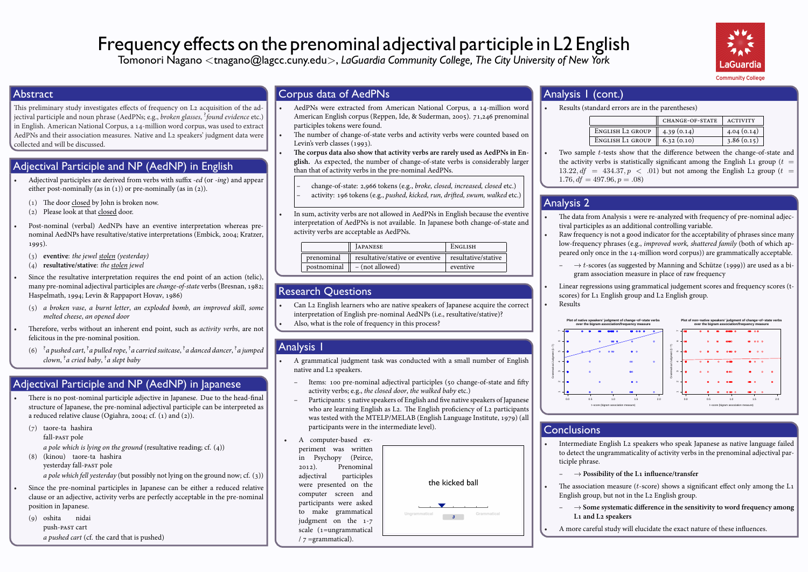# Frequency effects on the prenominal adjectival participle in L2 English

Tomonori Nagano *<*tnagano@lagcc.cuny.edu*>*, *LaGuardia Community College, The City University of New York*



#### Abstract

This preliminary study investigates effects of frequency on L2 acquisition of the adjectival participle and noun phrase (AedPNs; e.g., *broken glasses*, ? *found evidence* etc.) in English. American National Corpus, a 14-million word corpus, was used to extract AedPNs and their association measures. Native and L2 speakers' judgment data were collected and will be discussed.

#### Adjectival Participle and NP (AedNP) in English

- Adjectival participles are derived from verbs with suffix *-ed* (or *-ing*) and appear either post-nominally (as in  $(1)$ ) or pre-nominally (as in  $(2)$ ).
- $(1)$  The door closed by John is broken now.
- (2) Please look at that closed door.
- Post-nominal (verbal) AedNPs have an eventive interpretation whereas prenominal AedNPs have resultative/stative interpretations (Embick, 2004; Kratzer,  $1995)$ .
- () **eventive**: *the jewel stolen (yesterday)*
- () **resultative/stative**: *the stolen jewel*

Since the resultative interpretation requires the end point of an action (telic), many pre-nominal adjectival participles are *change-of-state* verbs (Bresnan, 1982; Haspelmath, 1994; Levin & Rappaport Hovav, 1986)

() *a broken vase*, *a burnt letter*, *an exploded bomb*, *an improved skill*, *some melted cheese*, *an opened door*

Therefore, verbs without an inherent end point, such as *activity verbs*, are not felicitous in the pre-nominal position.

(6) <sup>2</sup> a pushed cart, <sup>?</sup> a pulled rope, <sup>?</sup> a carried suitcase, <sup>?</sup> a danced dancer, <sup>?</sup> a jumped *clown*, ? *a cried baby*, ? *a slept baby*

#### Adjectival Participle and NP (AedNP) in Japanese

There is no post-nominal participle adjective in Japanese. Due to the head-final structure of Japanese, the pre-nominal adjectival participle can be interpreted as a reduced relative clause (Ogiahra, 2004; cf.  $(1)$  and  $(2)$ ).

- (7) taore-ta hashira
- fall- pole

*a pole which is lying on the ground* (resultative reading; cf. (4))

() (kinou) taore-ta hashira

yesterday fall- pole

*a pole which fell yesterday* (but possibly not lying on the ground now; cf. (3))

Since the pre-nominal participles in Japanese can be either a reduced relative clause or an adjective, activity verbs are perfectly acceptable in the pre-nominal position in Japanese.

() oshita push-past cart nidai

#### *a pushed cart* (cf. the card that is pushed)

#### Corpus data of AedPNs

- AedPNs were extracted from American National Corpus, a 14-million word American English corpus (Reppen, Ide, & Suderman, 2005). 71,246 prenominal participles tokens were found.
- The number of change-of-state verbs and activity verbs were counted based on Levin's verb classes  $(1993)$ .

The corpus data also show that activity verbs are rarely used as AedPNs in En**glish.** As expected, the number of change-of-state verbs is considerably larger than that of activity verbs in the pre-nominal AedPNs.

- change-of-state: 2,966 tokens (e.g., *broke, closed, increased, closed etc.*)
- activity: 196 tokens (e.g., *pushed, kicked, run, drifted, swum, walked etc.*)
- In sum, activity verbs are not allowed in AedPNs in English because the eventive interpretation of AedPNs is not available. In Japanese both change-of-state and activity verbs are acceptable as AedPNs.

|             | <b>JAPANESE</b>                 | ENGLISH             |
|-------------|---------------------------------|---------------------|
| prenominal  | resultative/stative or eventive | resultative/stative |
| postnominal | $-$ (not allowed)               | eventive            |
|             |                                 |                     |

#### Research Questions

Can L2 English learners who are native speakers of Japanese acquire the correct interpretation of English pre-nominal AedNPs (i.e., resultative/stative)? Also, what is the role of frequency in this process?

## Analysis 1

- A grammatical judgment task was conducted with a small number of English native and L2 speakers.
	- Items: 100 pre-nominal adjectival participles (50 change-of-state and fifty activity verbs; e.g., *the closed door*, *the walked baby* etc.)
	- Participants: 5 native speakers of English and five native speakers of Japanese who are learning English as L2. The English proficiency of L2 participants was tested with the MTELP/MELAB (English Language Institute, 1979) (all participants were in the intermediate level).
	- A computer-based experiment was written in Psychopy (Peirce, ). Prenominal adjectival participles were presented on the computer screen and participants were asked to make grammatical judgment on the  $1-7$ scale  $(1=$ ungrammatical  $/7$  =grammatical).

|               | the kicked ball |  |             |  |  |
|---------------|-----------------|--|-------------|--|--|
| Ungrammatical | 3               |  | Grammatical |  |  |

#### Analysis 1 (cont.)

• Results (standard errors are in the parentheses)

|                                          | <b>CHANGE-OF-STATE</b> | <b>ACTIVITY</b> |
|------------------------------------------|------------------------|-----------------|
| ENGLISH L2 GROUP $\parallel$ 4.39 (0.14) |                        | 4.04(0.14)      |
| ENGLISH L1 GROUP                         | 6.32(0.10)             | 3.86(0.15)      |

• Two sample *t*-tests show that the difference between the change-of-state and the activity verbs is statistically significant among the English L<sub>1</sub> group ( $t =$  $13.22, df = 434.37, p < .01$  but not among the English L<sub>2</sub> group (*t* =  $1.76, df = 497.96, p = .08$ 

## Analysis 2

- The data from Analysis 1 were re-analyzed with frequency of pre-nominal adjectival participles as an additional controlling variable.
- Raw frequency is not a good indicator for the acceptability of phrases since many low-frequency phrases (e.g., *improved work, shattered family* (both of which appeared only once in the 14-million word corpus)) are grammatically acceptable.
	- **–** *→ t*-scores (as suggested by Manning and Schütze ()) are used as a bigram association measure in place of raw frequency
- Linear regressions using grammatical judgement scores and frequency scores (tscores) for L1 English group and L2 English group. • Results



#### **Conclusions**

- Intermediate English L2 speakers who speak Japanese as native language failed to detect the ungrammaticality of activity verbs in the prenominal adjectival participle phrase.
	- → Possibility of the L<sub>1</sub> influence/transfer
	- The association measure  $(t\text{-score})$  shows a significant effect only among the L<sub>1</sub> English group, but not in the  $L_2$  English group.
	- **–** *→* **Some systematic difference in the sensitivity to word frequency among** L<sub>1</sub> and L<sub>2</sub> speakers
- A more careful study will elucidate the exact nature of these influences.